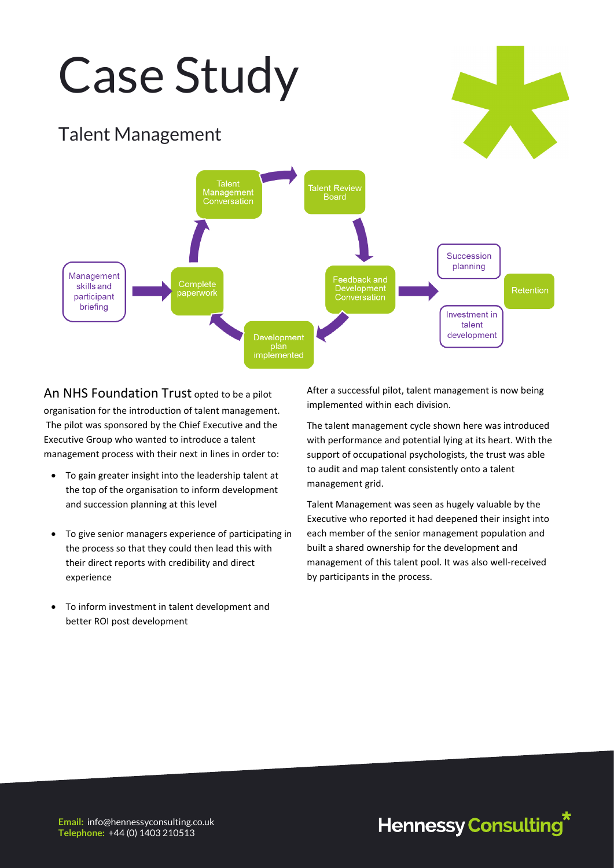## Case Study

## Talent Management



An NHS Foundation Trust opted to be a pilot organisation for the introduction of talent management. The pilot was sponsored by the Chief Executive and the Executive Group who wanted to introduce a talent management process with their next in lines in order to:

- To gain greater insight into the leadership talent at the top of the organisation to inform development and succession planning at this level
- To give senior managers experience of participating in the process so that they could then lead this with their direct reports with credibility and direct experience
- To inform investment in talent development and better ROI post development

After a successful pilot, talent management is now being implemented within each division.

The talent management cycle shown here was introduced with performance and potential lying at its heart. With the support of occupational psychologists, the trust was able to audit and map talent consistently onto a talent management grid.

Talent Management was seen as hugely valuable by the Executive who reported it had deepened their insight into each member of the senior management population and built a shared ownership for the development and management of this talent pool. It was also well-received by participants in the process.